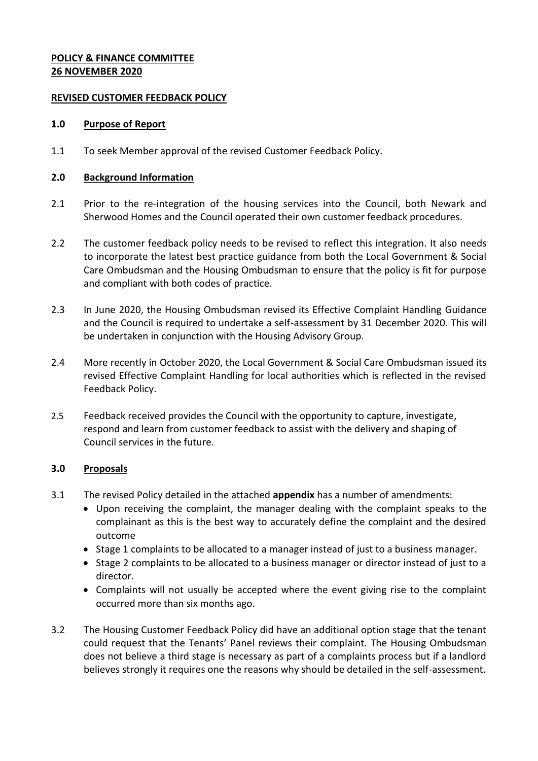## **POLICY & FINANCE COMMITTEE 26 NOVEMBER 2020**

## **REVISED CUSTOMER FEEDBACK POLICY**

### **1.0 Purpose of Report**

1.1 To seek Member approval of the revised Customer Feedback Policy.

## **2.0 Background Information**

- 2.1 Prior to the re-integration of the housing services into the Council, both Newark and Sherwood Homes and the Council operated their own customer feedback procedures.
- 2.2 The customer feedback policy needs to be revised to reflect this integration. It also needs to incorporate the latest best practice guidance from both the Local Government & Social Care Ombudsman and the Housing Ombudsman to ensure that the policy is fit for purpose and compliant with both codes of practice.
- 2.3 In June 2020, the Housing Ombudsman revised its Effective Complaint Handling Guidance and the Council is required to undertake a self-assessment by 31 December 2020. This will be undertaken in conjunction with the Housing Advisory Group.
- 2.4 More recently in October 2020, the Local Government & Social Care Ombudsman issued its revised Effective Complaint Handling for local authorities which is reflected in the revised Feedback Policy.
- 2.5 Feedback received provides the Council with the opportunity to capture, investigate, respond and learn from customer feedback to assist with the delivery and shaping of Council services in the future.

# **3.0 Proposals**

- 3.1 The revised Policy detailed in the attached **appendix** has a number of amendments:
	- Upon receiving the complaint, the manager dealing with the complaint speaks to the complainant as this is the best way to accurately define the complaint and the desired outcome
	- Stage 1 complaints to be allocated to a manager instead of just to a business manager.
	- Stage 2 complaints to be allocated to a business manager or director instead of just to a director.
	- Complaints will not usually be accepted where the event giving rise to the complaint occurred more than six months ago.
- 3.2 The Housing Customer Feedback Policy did have an additional option stage that the tenant could request that the Tenants' Panel reviews their complaint. The Housing Ombudsman does not believe a third stage is necessary as part of a complaints process but if a landlord believes strongly it requires one the reasons why should be detailed in the self-assessment.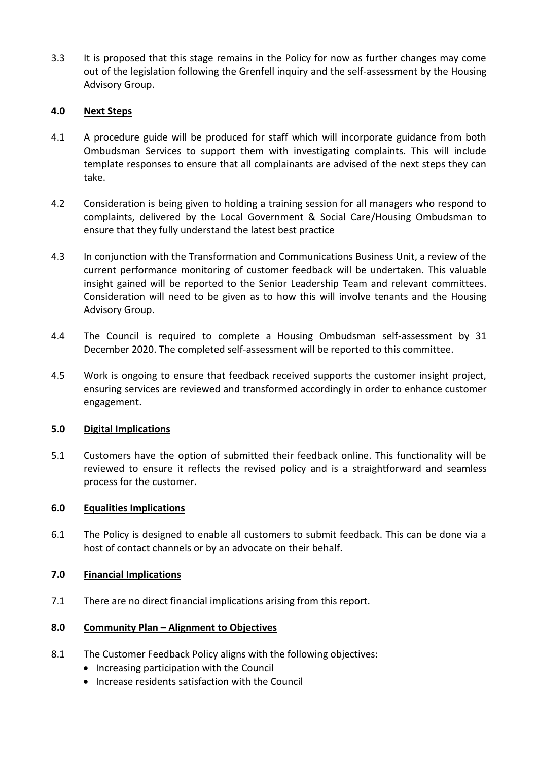3.3 It is proposed that this stage remains in the Policy for now as further changes may come out of the legislation following the Grenfell inquiry and the self-assessment by the Housing Advisory Group.

## **4.0 Next Steps**

- 4.1 A procedure guide will be produced for staff which will incorporate guidance from both Ombudsman Services to support them with investigating complaints. This will include template responses to ensure that all complainants are advised of the next steps they can take.
- 4.2 Consideration is being given to holding a training session for all managers who respond to complaints, delivered by the Local Government & Social Care/Housing Ombudsman to ensure that they fully understand the latest best practice
- 4.3 In conjunction with the Transformation and Communications Business Unit, a review of the current performance monitoring of customer feedback will be undertaken. This valuable insight gained will be reported to the Senior Leadership Team and relevant committees. Consideration will need to be given as to how this will involve tenants and the Housing Advisory Group.
- 4.4 The Council is required to complete a Housing Ombudsman self-assessment by 31 December 2020. The completed self-assessment will be reported to this committee.
- 4.5 Work is ongoing to ensure that feedback received supports the customer insight project, ensuring services are reviewed and transformed accordingly in order to enhance customer engagement.

### **5.0 Digital Implications**

5.1 Customers have the option of submitted their feedback online. This functionality will be reviewed to ensure it reflects the revised policy and is a straightforward and seamless process for the customer.

### **6.0 Equalities Implications**

6.1 The Policy is designed to enable all customers to submit feedback. This can be done via a host of contact channels or by an advocate on their behalf.

### **7.0 Financial Implications**

7.1 There are no direct financial implications arising from this report.

### **8.0 Community Plan – Alignment to Objectives**

- 8.1 The Customer Feedback Policy aligns with the following objectives:
	- Increasing participation with the Council
	- Increase residents satisfaction with the Council